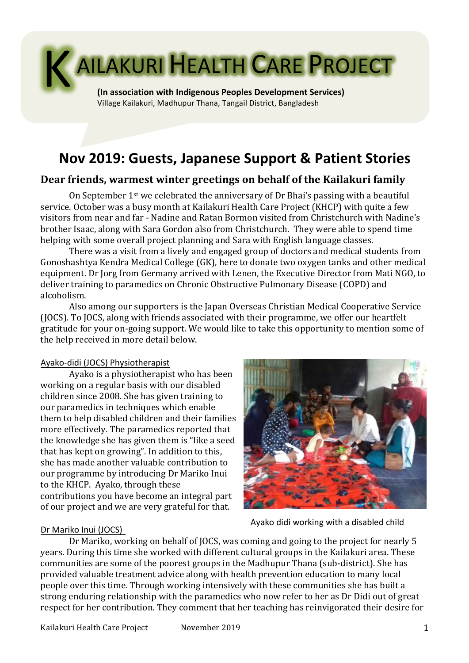

# **Nov 2019: Guests, Japanese Support & Patient Stories**

# Dear friends, warmest winter greetings on behalf of the Kailakuri family

On September  $1^{st}$  we celebrated the anniversary of Dr Bhai's passing with a beautiful service. October was a busy month at Kailakuri Health Care Project (KHCP) with quite a few visitors from near and far - Nadine and Ratan Bormon visited from Christchurch with Nadine's brother Isaac, along with Sara Gordon also from Christchurch. They were able to spend time helping with some overall project planning and Sara with English language classes.

There was a visit from a lively and engaged group of doctors and medical students from Gonoshashtya Kendra Medical College (GK), here to donate two oxygen tanks and other medical equipment. Dr Jorg from Germany arrived with Lenen, the Executive Director from Mati NGO, to deliver training to paramedics on Chronic Obstructive Pulmonary Disease (COPD) and alcoholism. 

Also among our supporters is the Japan Overseas Christian Medical Cooperative Service (JOCS). To JOCS, along with friends associated with their programme, we offer our heartfelt gratitude for your on-going support. We would like to take this opportunity to mention some of the help received in more detail below.

#### Ayako-didi (JOCS) Physiotherapist

Ayako is a physiotherapist who has been working on a regular basis with our disabled children since 2008. She has given training to our paramedics in techniques which enable them to help disabled children and their families more effectively. The paramedics reported that the knowledge she has given them is "like a seed that has kept on growing". In addition to this, she has made another valuable contribution to our programme by introducing Dr Mariko Inui to the KHCP. Ayako, through these contributions you have become an integral part of our project and we are very grateful for that.



Ayako didi working with a disabled child

### Dr Mariko Inui (JOCS)

Dr Mariko, working on behalf of JOCS, was coming and going to the project for nearly 5 years. During this time she worked with different cultural groups in the Kailakuri area. These communities are some of the poorest groups in the Madhupur Thana (sub-district). She has provided valuable treatment advice along with health prevention education to many local people over this time. Through working intensively with these communities she has built a strong enduring relationship with the paramedics who now refer to her as Dr Didi out of great respect for her contribution. They comment that her teaching has reinvigorated their desire for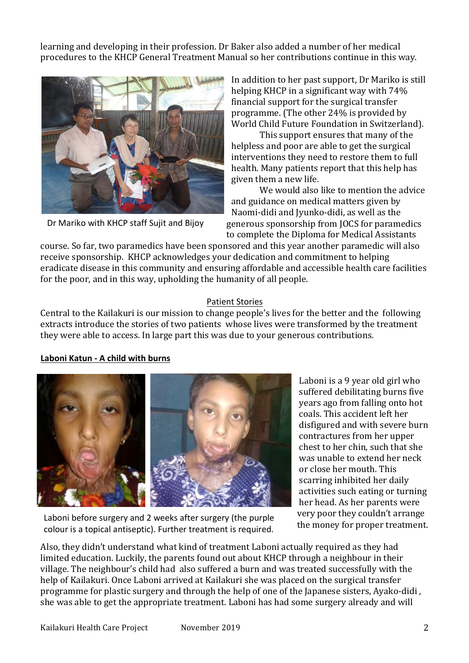learning and developing in their profession. Dr Baker also added a number of her medical procedures to the KHCP General Treatment Manual so her contributions continue in this way.



Dr Mariko with KHCP staff Sujit and Bijoy

In addition to her past support, Dr Mariko is still helping KHCP in a significant way with  $74\%$ financial support for the surgical transfer programme. (The other  $24\%$  is provided by World Child Future Foundation in Switzerland).

This support ensures that many of the helpless and poor are able to get the surgical interventions they need to restore them to full health. Many patients report that this help has given them a new life.

We would also like to mention the advice and guidance on medical matters given by Naomi-didi and Ivunko-didi, as well as the generous sponsorship from JOCS for paramedics to complete the Diploma for Medical Assistants

course. So far, two paramedics have been sponsored and this year another paramedic will also receive sponsorship. KHCP acknowledges your dedication and commitment to helping eradicate disease in this community and ensuring affordable and accessible health care facilities for the poor, and in this way, upholding the humanity of all people.

### Patient Stories

Central to the Kailakuri is our mission to change people's lives for the better and the following extracts introduce the stories of two patients whose lives were transformed by the treatment they were able to access. In large part this was due to your generous contributions.

### **Laboni Katun - A child with burns**



Laboni before surgery and 2 weeks after surgery (the purple colour is a topical antiseptic). Further treatment is required.

Laboni is a 9 year old girl who suffered debilitating burns five years ago from falling onto hot coals. This accident left her disfigured and with severe burn contractures from her upper chest to her chin, such that she was unable to extend her neck or close her mouth. This scarring inhibited her daily activities such eating or turning her head. As her parents were very poor they couldn't arrange the money for proper treatment.

Also, they didn't understand what kind of treatment Laboni actually required as they had limited education. Luckily, the parents found out about KHCP through a neighbour in their village. The neighbour's child had also suffered a burn and was treated successfully with the help of Kailakuri. Once Laboni arrived at Kailakuri she was placed on the surgical transfer programme for plastic surgery and through the help of one of the Japanese sisters, Ayako-didi, she was able to get the appropriate treatment. Laboni has had some surgery already and will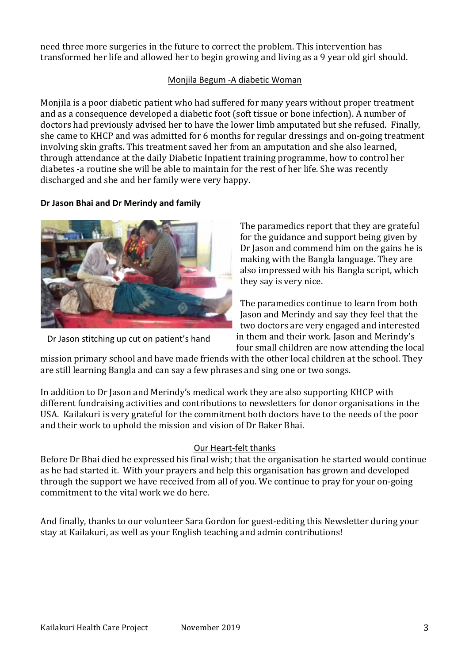need three more surgeries in the future to correct the problem. This intervention has transformed her life and allowed her to begin growing and living as a 9 year old girl should.

## Monjila Begum - A diabetic Woman

Monjila is a poor diabetic patient who had suffered for many years without proper treatment and as a consequence developed a diabetic foot (soft tissue or bone infection). A number of doctors had previously advised her to have the lower limb amputated but she refused. Finally, she came to KHCP and was admitted for 6 months for regular dressings and on-going treatment involving skin grafts. This treatment saved her from an amputation and she also learned, through attendance at the daily Diabetic Inpatient training programme, how to control her diabetes -a routine she will be able to maintain for the rest of her life. She was recently discharged and she and her family were very happy.

### **Dr Jason Bhai and Dr Merindy and family**



Dr Jason stitching up cut on patient's hand

The paramedics report that they are grateful for the guidance and support being given by Dr Jason and commend him on the gains he is making with the Bangla language. They are also impressed with his Bangla script, which they say is very nice.

The paramedics continue to learn from both Jason and Merindy and say they feel that the two doctors are very engaged and interested in them and their work. Jason and Merindy's four small children are now attending the local

mission primary school and have made friends with the other local children at the school. They are still learning Bangla and can say a few phrases and sing one or two songs.

In addition to Dr Jason and Merindy's medical work they are also supporting KHCP with different fundraising activities and contributions to newsletters for donor organisations in the USA. Kailakuri is very grateful for the commitment both doctors have to the needs of the poor and their work to uphold the mission and vision of Dr Baker Bhai.

### Our Heart-felt thanks

Before Dr Bhai died he expressed his final wish; that the organisation he started would continue as he had started it. With your prayers and help this organisation has grown and developed through the support we have received from all of you. We continue to pray for your on-going commitment to the vital work we do here.

And finally, thanks to our volunteer Sara Gordon for guest-editing this Newsletter during your stay at Kailakuri, as well as your English teaching and admin contributions!